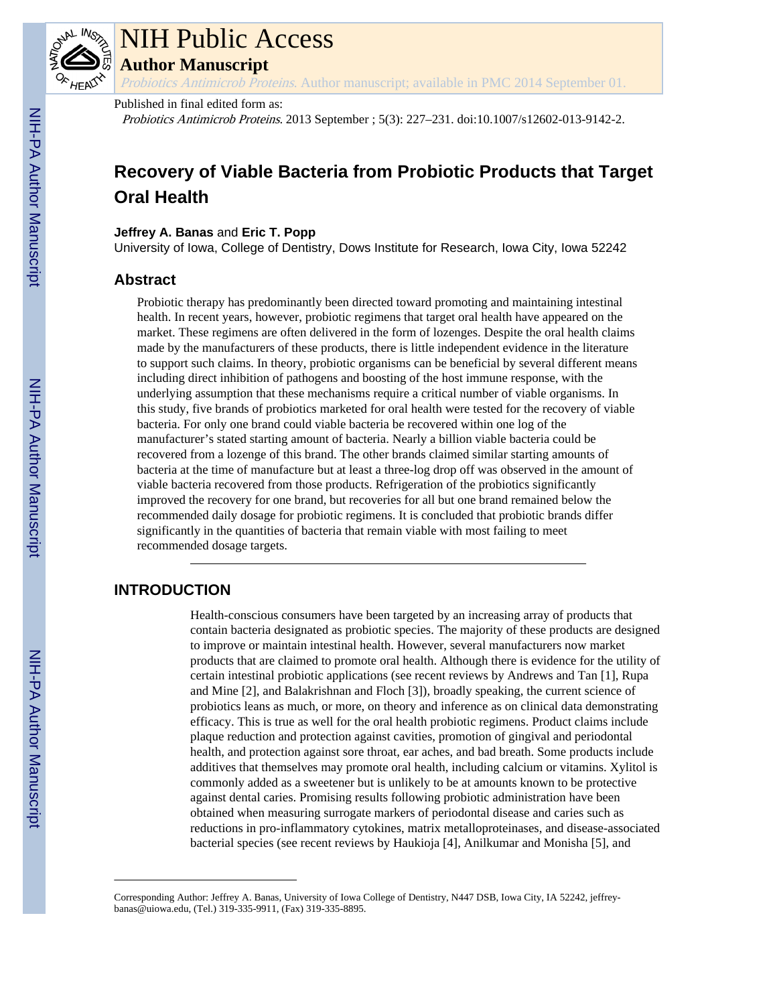

# NIH Public Access

**Author Manuscript**

Probiotics Antimicrob Proteins. Author manuscript; available in PMC 2014 September 01.

# Published in final edited form as:

Probiotics Antimicrob Proteins. 2013 September ; 5(3): 227–231. doi:10.1007/s12602-013-9142-2.

# **Recovery of Viable Bacteria from Probiotic Products that Target Oral Health**

#### **Jeffrey A. Banas** and **Eric T. Popp**

University of Iowa, College of Dentistry, Dows Institute for Research, Iowa City, Iowa 52242

# **Abstract**

Probiotic therapy has predominantly been directed toward promoting and maintaining intestinal health. In recent years, however, probiotic regimens that target oral health have appeared on the market. These regimens are often delivered in the form of lozenges. Despite the oral health claims made by the manufacturers of these products, there is little independent evidence in the literature to support such claims. In theory, probiotic organisms can be beneficial by several different means including direct inhibition of pathogens and boosting of the host immune response, with the underlying assumption that these mechanisms require a critical number of viable organisms. In this study, five brands of probiotics marketed for oral health were tested for the recovery of viable bacteria. For only one brand could viable bacteria be recovered within one log of the manufacturer's stated starting amount of bacteria. Nearly a billion viable bacteria could be recovered from a lozenge of this brand. The other brands claimed similar starting amounts of bacteria at the time of manufacture but at least a three-log drop off was observed in the amount of viable bacteria recovered from those products. Refrigeration of the probiotics significantly improved the recovery for one brand, but recoveries for all but one brand remained below the recommended daily dosage for probiotic regimens. It is concluded that probiotic brands differ significantly in the quantities of bacteria that remain viable with most failing to meet recommended dosage targets.

# **INTRODUCTION**

Health-conscious consumers have been targeted by an increasing array of products that contain bacteria designated as probiotic species. The majority of these products are designed to improve or maintain intestinal health. However, several manufacturers now market products that are claimed to promote oral health. Although there is evidence for the utility of certain intestinal probiotic applications (see recent reviews by Andrews and Tan [1], Rupa and Mine [2], and Balakrishnan and Floch [3]), broadly speaking, the current science of probiotics leans as much, or more, on theory and inference as on clinical data demonstrating efficacy. This is true as well for the oral health probiotic regimens. Product claims include plaque reduction and protection against cavities, promotion of gingival and periodontal health, and protection against sore throat, ear aches, and bad breath. Some products include additives that themselves may promote oral health, including calcium or vitamins. Xylitol is commonly added as a sweetener but is unlikely to be at amounts known to be protective against dental caries. Promising results following probiotic administration have been obtained when measuring surrogate markers of periodontal disease and caries such as reductions in pro-inflammatory cytokines, matrix metalloproteinases, and disease-associated bacterial species (see recent reviews by Haukioja [4], Anilkumar and Monisha [5], and

Corresponding Author: Jeffrey A. Banas, University of Iowa College of Dentistry, N447 DSB, Iowa City, IA 52242, jeffreybanas@uiowa.edu, (Tel.) 319-335-9911, (Fax) 319-335-8895.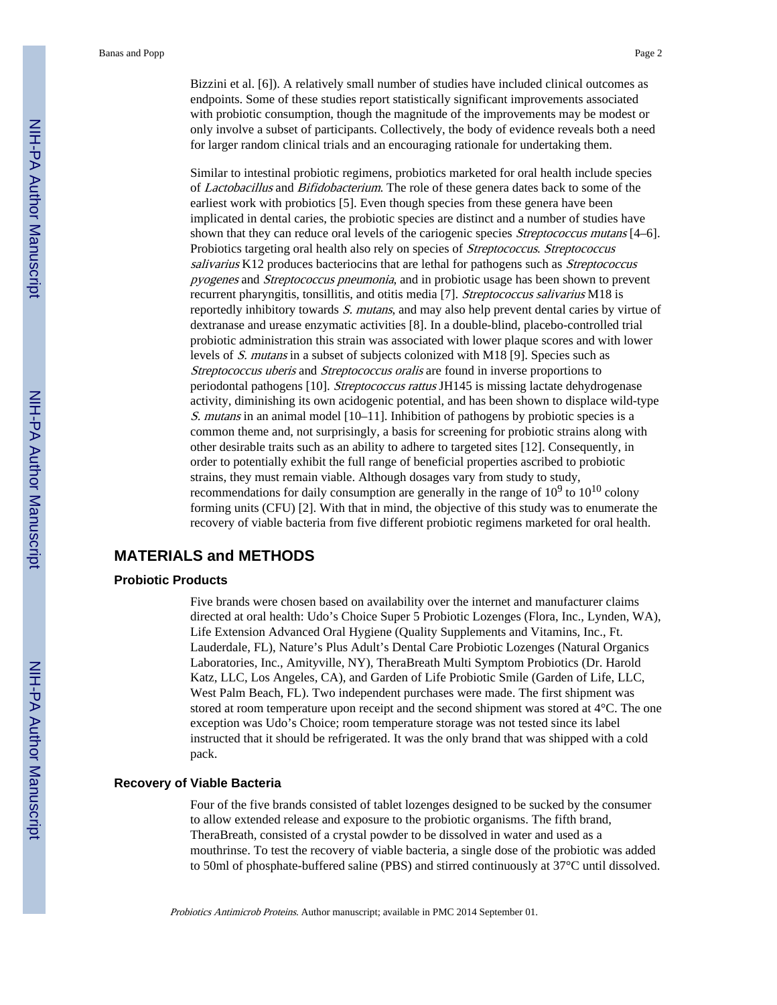Bizzini et al. [6]). A relatively small number of studies have included clinical outcomes as endpoints. Some of these studies report statistically significant improvements associated with probiotic consumption, though the magnitude of the improvements may be modest or only involve a subset of participants. Collectively, the body of evidence reveals both a need for larger random clinical trials and an encouraging rationale for undertaking them.

Similar to intestinal probiotic regimens, probiotics marketed for oral health include species of Lactobacillus and Bifidobacterium. The role of these genera dates back to some of the earliest work with probiotics [5]. Even though species from these genera have been implicated in dental caries, the probiotic species are distinct and a number of studies have shown that they can reduce oral levels of the cariogenic species *Streptococcus mutans* [4–6]. Probiotics targeting oral health also rely on species of Streptococcus. Streptococcus salivarius K12 produces bacteriocins that are lethal for pathogens such as *Streptococcus* pyogenes and Streptococcus pneumonia, and in probiotic usage has been shown to prevent recurrent pharyngitis, tonsillitis, and otitis media [7]. Streptococcus salivarius M18 is reportedly inhibitory towards S. mutans, and may also help prevent dental caries by virtue of dextranase and urease enzymatic activities [8]. In a double-blind, placebo-controlled trial probiotic administration this strain was associated with lower plaque scores and with lower levels of S. mutans in a subset of subjects colonized with M18 [9]. Species such as Streptococcus uberis and Streptococcus oralis are found in inverse proportions to periodontal pathogens [10]. Streptococcus rattus JH145 is missing lactate dehydrogenase activity, diminishing its own acidogenic potential, and has been shown to displace wild-type S. mutans in an animal model  $[10-11]$ . Inhibition of pathogens by probiotic species is a common theme and, not surprisingly, a basis for screening for probiotic strains along with other desirable traits such as an ability to adhere to targeted sites [12]. Consequently, in order to potentially exhibit the full range of beneficial properties ascribed to probiotic strains, they must remain viable. Although dosages vary from study to study, recommendations for daily consumption are generally in the range of  $10^9$  to  $10^{10}$  colony forming units (CFU) [2]. With that in mind, the objective of this study was to enumerate the recovery of viable bacteria from five different probiotic regimens marketed for oral health.

# **MATERIALS and METHODS**

#### **Probiotic Products**

Five brands were chosen based on availability over the internet and manufacturer claims directed at oral health: Udo's Choice Super 5 Probiotic Lozenges (Flora, Inc., Lynden, WA), Life Extension Advanced Oral Hygiene (Quality Supplements and Vitamins, Inc., Ft. Lauderdale, FL), Nature's Plus Adult's Dental Care Probiotic Lozenges (Natural Organics Laboratories, Inc., Amityville, NY), TheraBreath Multi Symptom Probiotics (Dr. Harold Katz, LLC, Los Angeles, CA), and Garden of Life Probiotic Smile (Garden of Life, LLC, West Palm Beach, FL). Two independent purchases were made. The first shipment was stored at room temperature upon receipt and the second shipment was stored at 4°C. The one exception was Udo's Choice; room temperature storage was not tested since its label instructed that it should be refrigerated. It was the only brand that was shipped with a cold pack.

#### **Recovery of Viable Bacteria**

Four of the five brands consisted of tablet lozenges designed to be sucked by the consumer to allow extended release and exposure to the probiotic organisms. The fifth brand, TheraBreath, consisted of a crystal powder to be dissolved in water and used as a mouthrinse. To test the recovery of viable bacteria, a single dose of the probiotic was added to 50ml of phosphate-buffered saline (PBS) and stirred continuously at 37°C until dissolved.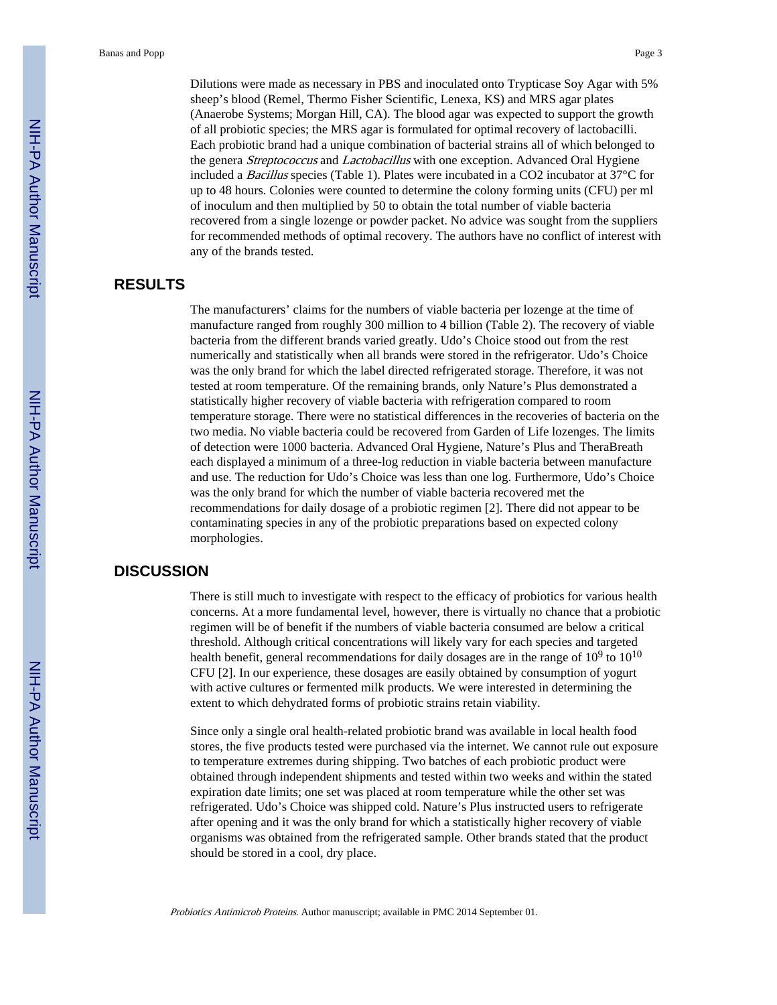Dilutions were made as necessary in PBS and inoculated onto Trypticase Soy Agar with 5% sheep's blood (Remel, Thermo Fisher Scientific, Lenexa, KS) and MRS agar plates (Anaerobe Systems; Morgan Hill, CA). The blood agar was expected to support the growth of all probiotic species; the MRS agar is formulated for optimal recovery of lactobacilli. Each probiotic brand had a unique combination of bacterial strains all of which belonged to the genera Streptococcus and Lactobacillus with one exception. Advanced Oral Hygiene included a Bacillus species (Table 1). Plates were incubated in a CO2 incubator at 37°C for up to 48 hours. Colonies were counted to determine the colony forming units (CFU) per ml of inoculum and then multiplied by 50 to obtain the total number of viable bacteria recovered from a single lozenge or powder packet. No advice was sought from the suppliers for recommended methods of optimal recovery. The authors have no conflict of interest with any of the brands tested.

# **RESULTS**

The manufacturers' claims for the numbers of viable bacteria per lozenge at the time of manufacture ranged from roughly 300 million to 4 billion (Table 2). The recovery of viable bacteria from the different brands varied greatly. Udo's Choice stood out from the rest numerically and statistically when all brands were stored in the refrigerator. Udo's Choice was the only brand for which the label directed refrigerated storage. Therefore, it was not tested at room temperature. Of the remaining brands, only Nature's Plus demonstrated a statistically higher recovery of viable bacteria with refrigeration compared to room temperature storage. There were no statistical differences in the recoveries of bacteria on the two media. No viable bacteria could be recovered from Garden of Life lozenges. The limits of detection were 1000 bacteria. Advanced Oral Hygiene, Nature's Plus and TheraBreath each displayed a minimum of a three-log reduction in viable bacteria between manufacture and use. The reduction for Udo's Choice was less than one log. Furthermore, Udo's Choice was the only brand for which the number of viable bacteria recovered met the recommendations for daily dosage of a probiotic regimen [2]. There did not appear to be contaminating species in any of the probiotic preparations based on expected colony morphologies.

## **DISCUSSION**

There is still much to investigate with respect to the efficacy of probiotics for various health concerns. At a more fundamental level, however, there is virtually no chance that a probiotic regimen will be of benefit if the numbers of viable bacteria consumed are below a critical threshold. Although critical concentrations will likely vary for each species and targeted health benefit, general recommendations for daily dosages are in the range of  $10^9$  to  $10^{10}$ CFU [2]. In our experience, these dosages are easily obtained by consumption of yogurt with active cultures or fermented milk products. We were interested in determining the extent to which dehydrated forms of probiotic strains retain viability.

Since only a single oral health-related probiotic brand was available in local health food stores, the five products tested were purchased via the internet. We cannot rule out exposure to temperature extremes during shipping. Two batches of each probiotic product were obtained through independent shipments and tested within two weeks and within the stated expiration date limits; one set was placed at room temperature while the other set was refrigerated. Udo's Choice was shipped cold. Nature's Plus instructed users to refrigerate after opening and it was the only brand for which a statistically higher recovery of viable organisms was obtained from the refrigerated sample. Other brands stated that the product should be stored in a cool, dry place.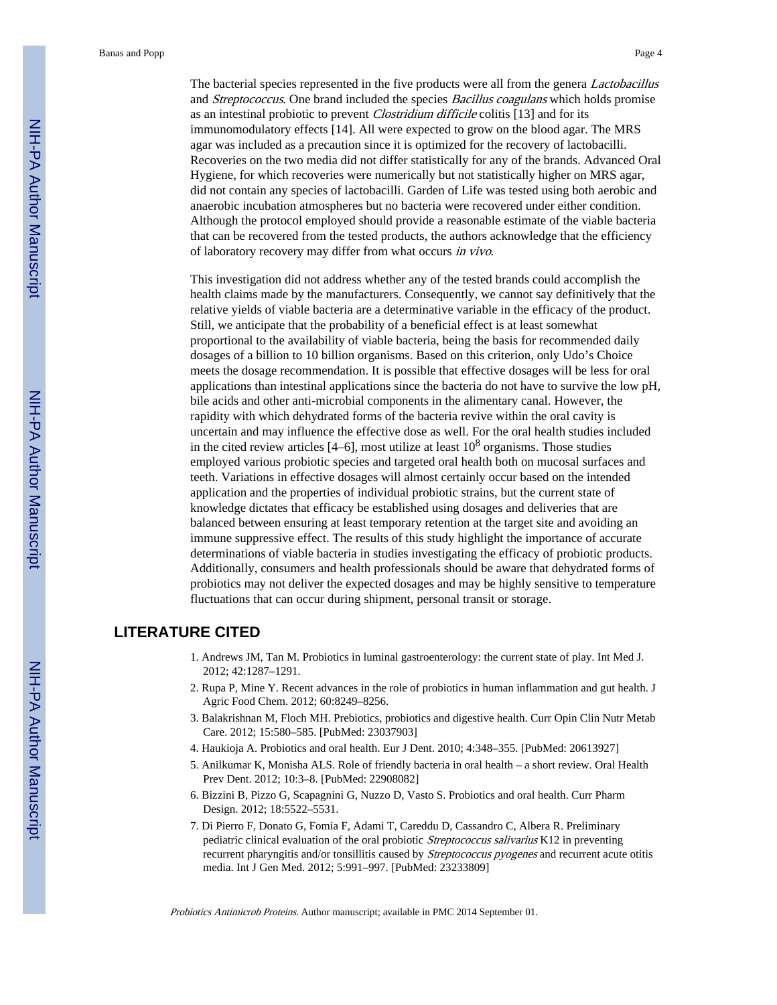Banas and Popp Page 4

The bacterial species represented in the five products were all from the genera Lactobacillus and *Streptococcus*. One brand included the species *Bacillus coagulans* which holds promise as an intestinal probiotic to prevent Clostridium difficile colitis [13] and for its immunomodulatory effects [14]. All were expected to grow on the blood agar. The MRS agar was included as a precaution since it is optimized for the recovery of lactobacilli. Recoveries on the two media did not differ statistically for any of the brands. Advanced Oral Hygiene, for which recoveries were numerically but not statistically higher on MRS agar, did not contain any species of lactobacilli. Garden of Life was tested using both aerobic and anaerobic incubation atmospheres but no bacteria were recovered under either condition. Although the protocol employed should provide a reasonable estimate of the viable bacteria that can be recovered from the tested products, the authors acknowledge that the efficiency of laboratory recovery may differ from what occurs in vivo.

This investigation did not address whether any of the tested brands could accomplish the health claims made by the manufacturers. Consequently, we cannot say definitively that the relative yields of viable bacteria are a determinative variable in the efficacy of the product. Still, we anticipate that the probability of a beneficial effect is at least somewhat proportional to the availability of viable bacteria, being the basis for recommended daily dosages of a billion to 10 billion organisms. Based on this criterion, only Udo's Choice meets the dosage recommendation. It is possible that effective dosages will be less for oral applications than intestinal applications since the bacteria do not have to survive the low pH, bile acids and other anti-microbial components in the alimentary canal. However, the rapidity with which dehydrated forms of the bacteria revive within the oral cavity is uncertain and may influence the effective dose as well. For the oral health studies included in the cited review articles  $[4-6]$ , most utilize at least  $10^8$  organisms. Those studies employed various probiotic species and targeted oral health both on mucosal surfaces and teeth. Variations in effective dosages will almost certainly occur based on the intended application and the properties of individual probiotic strains, but the current state of knowledge dictates that efficacy be established using dosages and deliveries that are balanced between ensuring at least temporary retention at the target site and avoiding an immune suppressive effect. The results of this study highlight the importance of accurate determinations of viable bacteria in studies investigating the efficacy of probiotic products. Additionally, consumers and health professionals should be aware that dehydrated forms of probiotics may not deliver the expected dosages and may be highly sensitive to temperature fluctuations that can occur during shipment, personal transit or storage.

# **LITERATURE CITED**

- 1. Andrews JM, Tan M. Probiotics in luminal gastroenterology: the current state of play. Int Med J. 2012; 42:1287–1291.
- 2. Rupa P, Mine Y. Recent advances in the role of probiotics in human inflammation and gut health. J Agric Food Chem. 2012; 60:8249–8256.
- 3. Balakrishnan M, Floch MH. Prebiotics, probiotics and digestive health. Curr Opin Clin Nutr Metab Care. 2012; 15:580–585. [PubMed: 23037903]
- 4. Haukioja A. Probiotics and oral health. Eur J Dent. 2010; 4:348–355. [PubMed: 20613927]
- 5. Anilkumar K, Monisha ALS. Role of friendly bacteria in oral health a short review. Oral Health Prev Dent. 2012; 10:3–8. [PubMed: 22908082]
- 6. Bizzini B, Pizzo G, Scapagnini G, Nuzzo D, Vasto S. Probiotics and oral health. Curr Pharm Design. 2012; 18:5522–5531.
- 7. Di Pierro F, Donato G, Fomia F, Adami T, Careddu D, Cassandro C, Albera R. Preliminary pediatric clinical evaluation of the oral probiotic Streptococcus salivarius K12 in preventing recurrent pharyngitis and/or tonsillitis caused by *Streptococcus pyogenes* and recurrent acute otitis media. Int J Gen Med. 2012; 5:991–997. [PubMed: 23233809]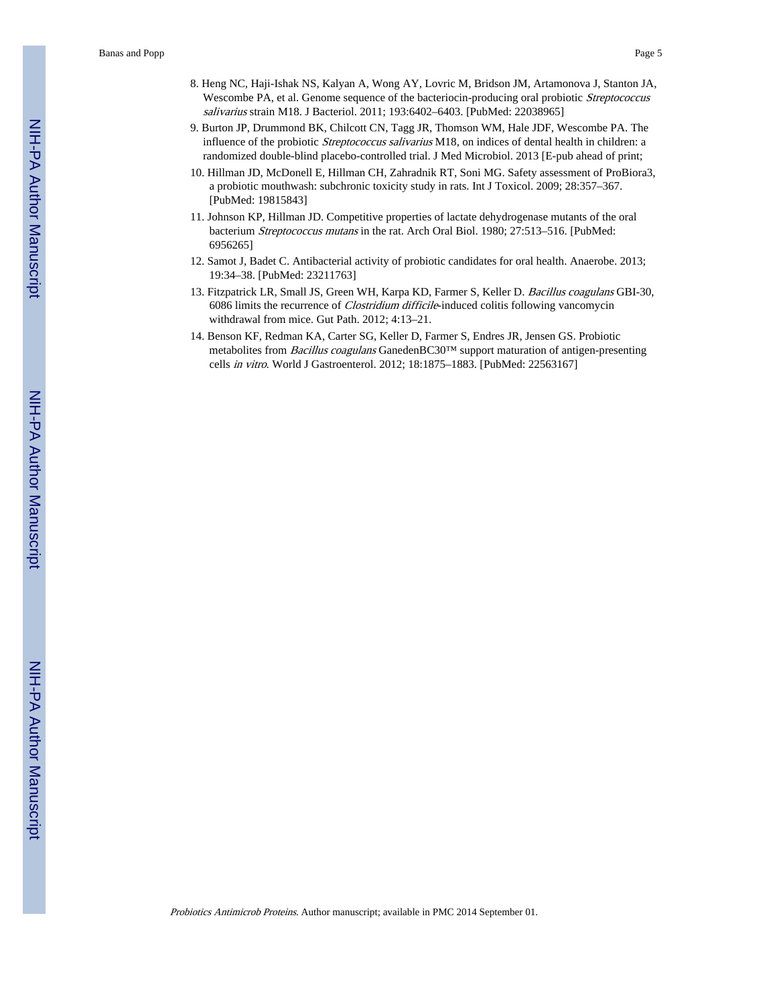- 8. Heng NC, Haji-Ishak NS, Kalyan A, Wong AY, Lovric M, Bridson JM, Artamonova J, Stanton JA, Wescombe PA, et al. Genome sequence of the bacteriocin-producing oral probiotic Streptococcus salivarius strain M18. J Bacteriol. 2011; 193:6402–6403. [PubMed: 22038965]
- 9. Burton JP, Drummond BK, Chilcott CN, Tagg JR, Thomson WM, Hale JDF, Wescombe PA. The influence of the probiotic Streptococcus salivarius M18, on indices of dental health in children: a randomized double-blind placebo-controlled trial. J Med Microbiol. 2013 [E-pub ahead of print;
- 10. Hillman JD, McDonell E, Hillman CH, Zahradnik RT, Soni MG. Safety assessment of ProBiora3, a probiotic mouthwash: subchronic toxicity study in rats. Int J Toxicol. 2009; 28:357–367. [PubMed: 19815843]
- 11. Johnson KP, Hillman JD. Competitive properties of lactate dehydrogenase mutants of the oral bacterium Streptococcus mutans in the rat. Arch Oral Biol. 1980; 27:513–516. [PubMed: 6956265]
- 12. Samot J, Badet C. Antibacterial activity of probiotic candidates for oral health. Anaerobe. 2013; 19:34–38. [PubMed: 23211763]
- 13. Fitzpatrick LR, Small JS, Green WH, Karpa KD, Farmer S, Keller D. Bacillus coagulans GBI-30, 6086 limits the recurrence of Clostridium difficile-induced colitis following vancomycin withdrawal from mice. Gut Path. 2012; 4:13–21.
- 14. Benson KF, Redman KA, Carter SG, Keller D, Farmer S, Endres JR, Jensen GS. Probiotic metabolites from Bacillus coagulans GanedenBC30™ support maturation of antigen-presenting cells in vitro. World J Gastroenterol. 2012; 18:1875–1883. [PubMed: 22563167]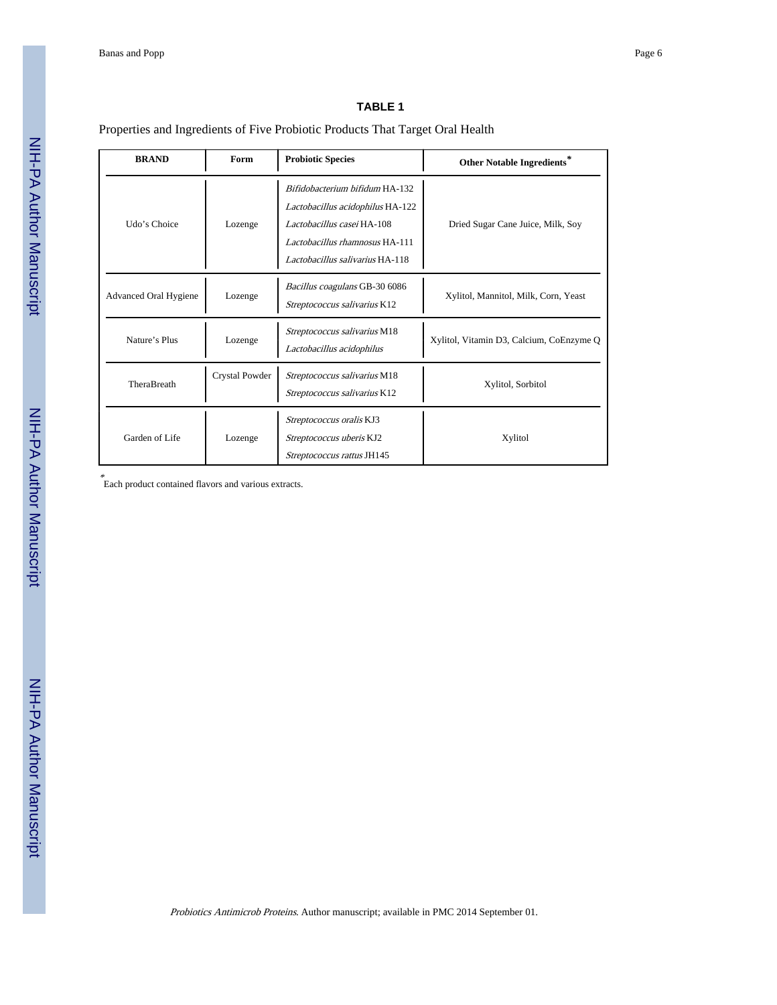# **TABLE 1**

# Properties and Ingredients of Five Probiotic Products That Target Oral Health

| <b>BRAND</b>          | Form                  | <b>Probiotic Species</b>                                                                                                                                              | <b>Other Notable Ingredients*</b>        |  |
|-----------------------|-----------------------|-----------------------------------------------------------------------------------------------------------------------------------------------------------------------|------------------------------------------|--|
| Udo's Choice          | Lozenge               | Bifidobacterium bifidum HA-132<br>Lactobacillus acidophilus HA-122<br>Lactobacillus casei HA-108<br>Lactobacillus rhamnosus HA-111<br>Lactobacillus salivarius HA-118 | Dried Sugar Cane Juice, Milk, Soy        |  |
| Advanced Oral Hygiene | Lozenge               | Bacillus coagulans GB-30 6086<br>Streptococcus salivarius K12                                                                                                         | Xylitol, Mannitol, Milk, Corn, Yeast     |  |
| Nature's Plus         | Lozenge               | Streptococcus salivarius M18<br>Lactobacillus acidophilus                                                                                                             | Xylitol, Vitamin D3, Calcium, CoEnzyme Q |  |
| TheraBreath           | <b>Crystal Powder</b> | Streptococcus salivarius M18<br>Streptococcus salivarius K12                                                                                                          | Xylitol, Sorbitol                        |  |
| Garden of Life        | Lozenge               | Streptococcus oralis KJ3<br>Streptococcus uberis KJ2<br>Streptococcus rattus JH145                                                                                    | Xylitol                                  |  |

\* Each product contained flavors and various extracts.